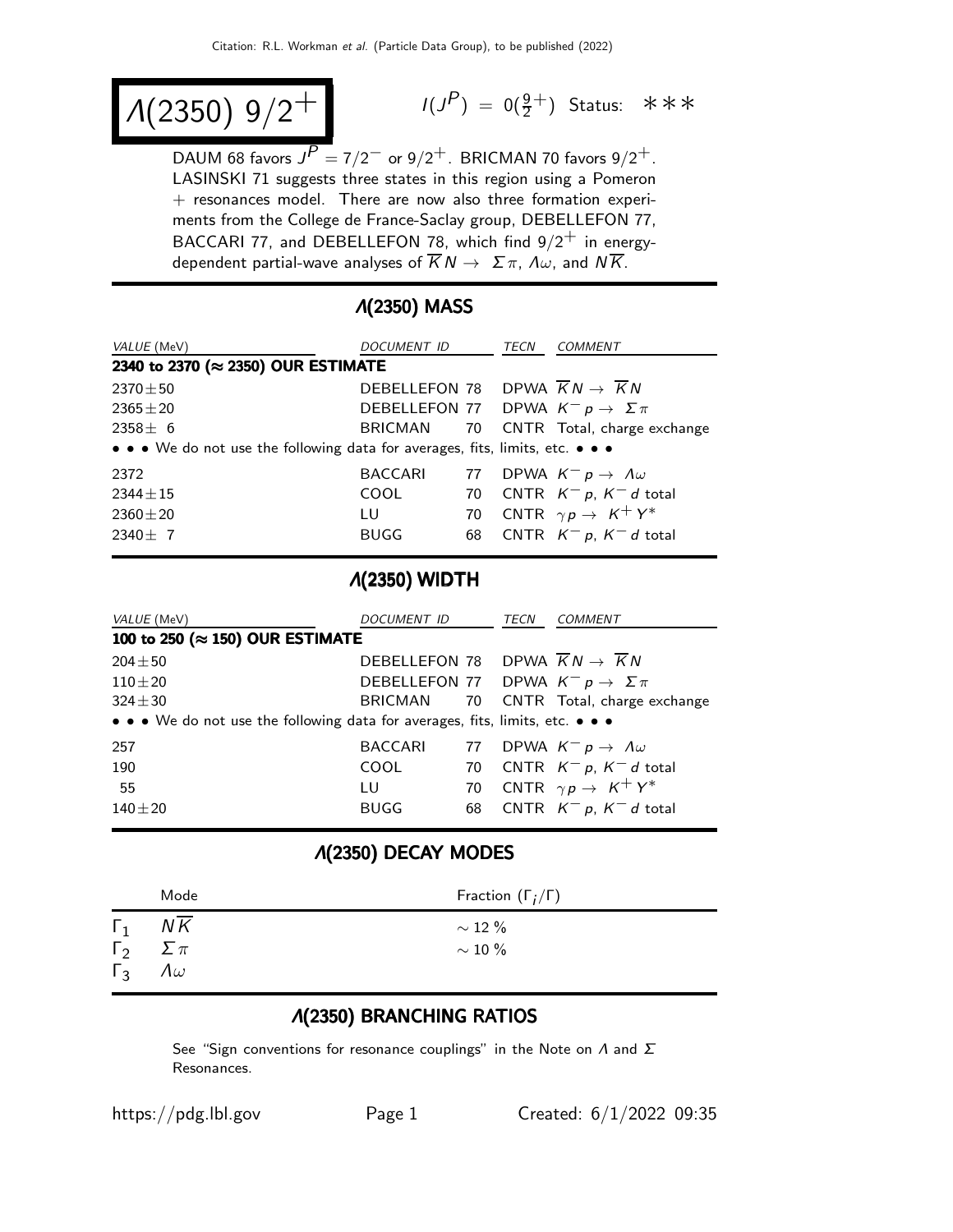$$
\lambda(2350) \; 9/2^+ \qquad \qquad ^{\frac{1}{3}}
$$

 $(P) = 0(\frac{9}{2}^+)$  Status: \*\*\*

DAUM 68 favors  $J^P = 7/2^-$  or  $9/2^+$ . BRICMAN 70 favors  $9/2^+$ . LASINSKI 71 suggests three states in this region using a Pomeron  $+$  resonances model. There are now also three formation experiments from the College de France-Saclay group, DEBELLEFON 77, BACCARI 77, and DEBELLEFON 78, which find  $9/2^+$  in energydependent partial-wave analyses of  $\overline{K}N \to \Sigma \pi$ ,  $\Lambda \omega$ , and  $N\overline{K}$ .

## Λ(2350) MASS

| <i>VALUE</i> (MeV)                                                            | DOCUMENT ID                                                  |    | TECN | COMMENT                                |  |  |
|-------------------------------------------------------------------------------|--------------------------------------------------------------|----|------|----------------------------------------|--|--|
| 2340 to 2370 (≈ 2350) OUR ESTIMATE                                            |                                                              |    |      |                                        |  |  |
| $2370 \pm 50$                                                                 | DEBELLEFON 78 DPWA $\overline{K}N \rightarrow \overline{K}N$ |    |      |                                        |  |  |
| $2365 \pm 20$                                                                 | DEBELLEFON 77 DPWA $K^- p \to \Sigma \pi$                    |    |      |                                        |  |  |
| $2358 \pm 6$                                                                  |                                                              |    |      | BRICMAN 70 CNTR Total, charge exchange |  |  |
| • • • We do not use the following data for averages, fits, limits, etc. • • • |                                                              |    |      |                                        |  |  |
| 2372                                                                          | <b>BACCARI</b>                                               |    |      | 77 DPWA $K^- p \to \Lambda \omega$     |  |  |
| $2344 \pm 15$                                                                 | <b>COOL</b>                                                  | 70 |      | CNTR $K^- p$ , $K^- d$ total           |  |  |
| $2360 \pm 20$                                                                 | LU.                                                          |    |      | 70 CNTR $\gamma p \rightarrow K^+ Y^*$ |  |  |
| $2340 \pm 7$                                                                  | <b>BUGG</b>                                                  | 68 |      | CNTR $K^- p$ , $K^- d$ total           |  |  |

## Λ(2350) WIDTH

| VALUE (MeV)                                                                   | <i>DOCUMENT ID</i>                                           |    | TECN | COMMENT                                |  |
|-------------------------------------------------------------------------------|--------------------------------------------------------------|----|------|----------------------------------------|--|
| 100 to 250 (≈ 150) OUR ESTIMATE                                               |                                                              |    |      |                                        |  |
| $204 \pm 50$                                                                  | DEBELLEFON 78 DPWA $\overline{K}N \rightarrow \overline{K}N$ |    |      |                                        |  |
| $110\pm20$                                                                    | DEBELLEFON 77 DPWA $K^- p \to \Sigma \pi$                    |    |      |                                        |  |
| $324 \pm 30$                                                                  | BRICMAN                                                      |    |      | 70 CNTR Total, charge exchange         |  |
| • • • We do not use the following data for averages, fits, limits, etc. • • • |                                                              |    |      |                                        |  |
| 257                                                                           | <b>BACCARI</b>                                               |    |      | 77 DPWA $K^- p \to \Lambda \omega$     |  |
| 190                                                                           | <b>COOL</b>                                                  |    |      | 70 CNTR $K^- p$ , $K^- d$ total        |  |
| 55                                                                            | ΤU                                                           |    |      | 70 CNTR $\gamma p \rightarrow K^+ Y^*$ |  |
| $140 + 20$                                                                    | <b>BUGG</b>                                                  | 68 |      | CNTR $K^- p$ , $K^- d$ total           |  |

## Λ(2350) DECAY MODES

|                             | Mode             | Fraction $(\Gamma_i/\Gamma)$ |
|-----------------------------|------------------|------------------------------|
| $\Gamma_2 \quad \Sigma \pi$ | $\Gamma_1$ NK    | $\sim$ 12 %<br>$\sim$ 10 %   |
| $\Gamma_3$                  | $\Lambda \omega$ |                              |

## Λ(2350) BRANCHING RATIOS

See "Sign conventions for resonance couplings" in the Note on  $\Lambda$  and  $\Sigma$ Resonances.